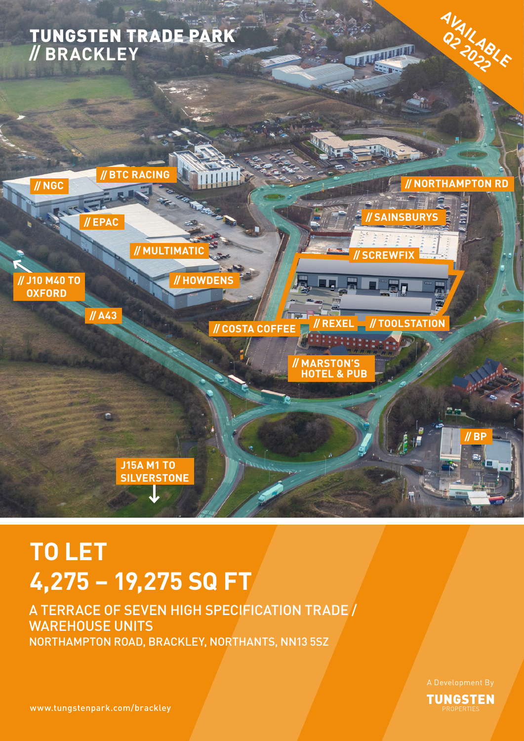

## **TO LET 4,275 – 19,275 SQ FT**

## A TERRACE OF SEVEN HIGH SPECIFICATION TRADE / WAREHOUSE UNITS NORTHAMPTON ROAD, BRACKLEY, NORTHANTS, NN13 5SZ

**TUNGSTEN** 

www.tungstenpark.com/brackley